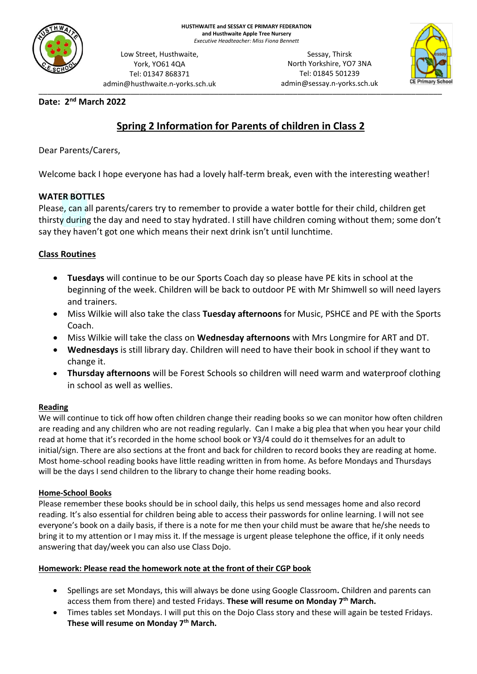

Low Street, Husthwaite, York, YO61 4QA Tel: 01347 868371 admin@husthwaite.n-yorks.sch.uk

\_\_\_\_\_\_\_\_\_\_\_\_\_\_\_\_\_\_\_\_\_\_\_\_\_\_\_\_\_\_\_\_\_\_\_\_\_\_\_\_\_\_\_\_\_\_\_\_\_\_\_\_\_\_\_\_\_\_\_\_\_\_\_\_\_\_\_\_\_\_\_\_\_\_\_\_\_\_\_\_\_\_\_\_\_\_\_\_\_\_\_\_ Sessay, Thirsk North Yorkshire, YO7 3NA Tel: 01845 501239 admin@sessay.n-yorks.sch.uk



## **Date: 2 nd March 2022**

# **Spring 2 Information for Parents of children in Class 2**

Dear Parents/Carers,

Welcome back I hope everyone has had a lovely half-term break, even with the interesting weather!

## **WATER BOTTLES**

Please, can all parents/carers try to remember to provide a water bottle for their child, children get thirsty during the day and need to stay hydrated. I still have children coming without them; some don't say they haven't got one which means their next drink isn't until lunchtime.

## **Class Routines**

- **Tuesdays** will continue to be our Sports Coach day so please have PE kits in school at the beginning of the week. Children will be back to outdoor PE with Mr Shimwell so will need layers and trainers.
- Miss Wilkie will also take the class **Tuesday afternoons** for Music, PSHCE and PE with the Sports Coach.
- Miss Wilkie will take the class on **Wednesday afternoons** with Mrs Longmire for ART and DT.
- **Wednesdays** is still library day. Children will need to have their book in school if they want to change it.
- **Thursday afternoons** will be Forest Schools so children will need warm and waterproof clothing in school as well as wellies.

## **Reading**

We will continue to tick off how often children change their reading books so we can monitor how often children are reading and any children who are not reading regularly. Can I make a big plea that when you hear your child read at home that it's recorded in the home school book or Y3/4 could do it themselves for an adult to initial/sign. There are also sections at the front and back for children to record books they are reading at home. Most home-school reading books have little reading written in from home. As before Mondays and Thursdays will be the days I send children to the library to change their home reading books.

### **Home-School Books**

Please remember these books should be in school daily, this helps us send messages home and also record reading. It's also essential for children being able to access their passwords for online learning. I will not see everyone's book on a daily basis, if there is a note for me then your child must be aware that he/she needs to bring it to my attention or I may miss it. If the message is urgent please telephone the office, if it only needs answering that day/week you can also use Class Dojo.

### **Homework: Please read the homework note at the front of their CGP book**

- Spellings are set Mondays, this will always be done using Google Classroom**.** Children and parents can access them from there) and tested Fridays. **These will resume on Monday 7th March.**
- Times tables set Mondays. I will put this on the Dojo Class story and these will again be tested Fridays. **These will resume on Monday 7th March.**